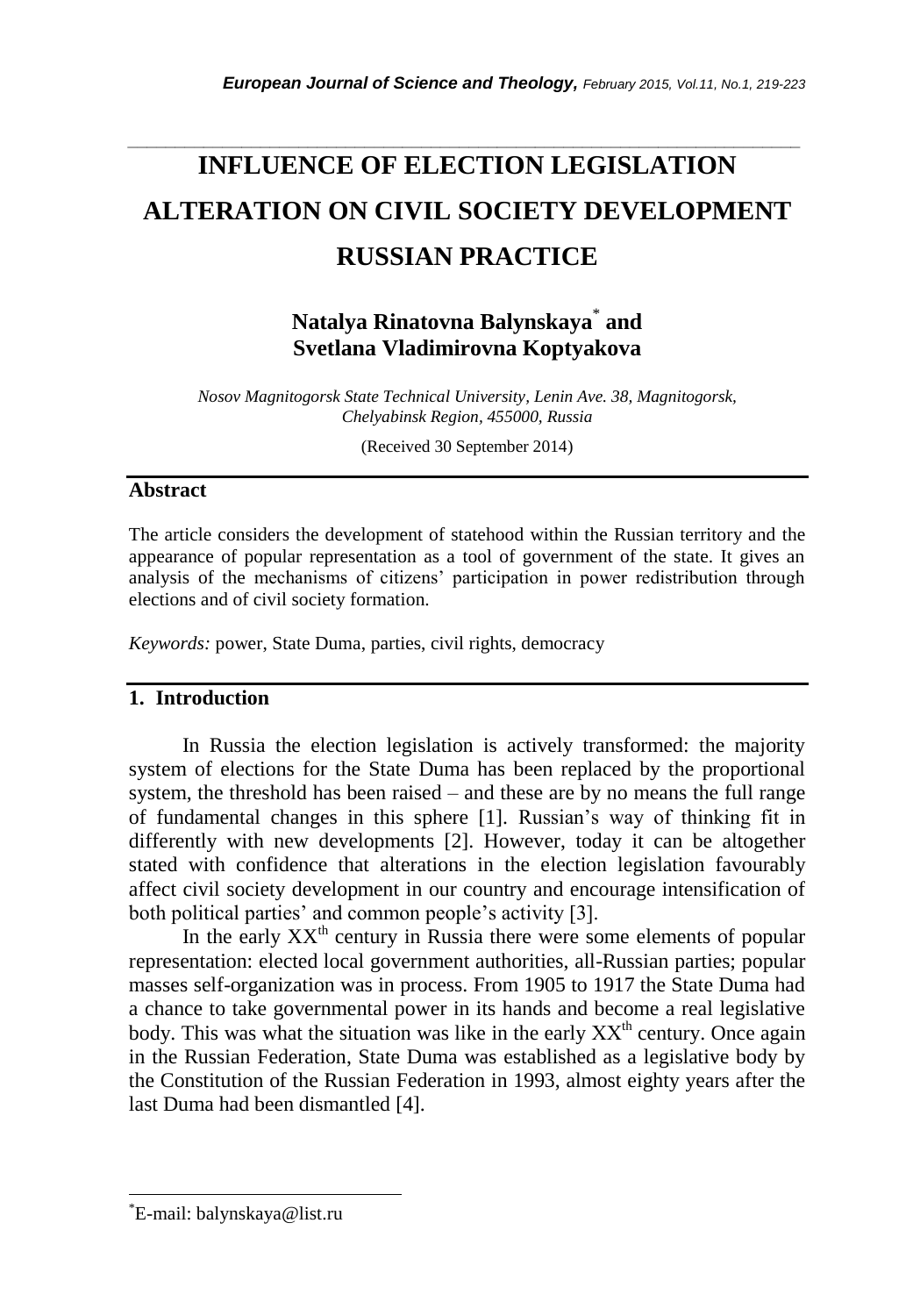# **INFLUENCE OF ELECTION LEGISLATION ALTERATION ON CIVIL SOCIETY DEVELOPMENT RUSSIAN PRACTICE**

*\_\_\_\_\_\_\_\_\_\_\_\_\_\_\_\_\_\_\_\_\_\_\_\_\_\_\_\_\_\_\_\_\_\_\_\_\_\_\_\_\_\_\_\_\_\_\_\_\_\_\_\_\_\_\_\_\_\_\_\_\_\_\_\_\_\_\_\_\_\_\_*

**Natalya Rinatovna Balynskaya**\* **and Svetlana Vladimirovna Koptyakova**

*Nosov Magnitogorsk State Technical University, Lenin Ave. 38, Magnitogorsk, Chelyabinsk Region, 455000, Russia*

(Received 30 September 2014)

### **Abstract**

The article considers the development of statehood within the Russian territory and the appearance of popular representation as a tool of government of the state. It gives an analysis of the mechanisms of citizens" participation in power redistribution through elections and of civil society formation.

*Keywords:* power, State Duma, parties, civil rights, democracy

# **1. Introduction**

In Russia the election legislation is actively transformed: the majority system of elections for the State Duma has been replaced by the proportional system, the threshold has been raised – and these are by no means the full range of fundamental changes in this sphere [1]. Russian"s way of thinking fit in differently with new developments [2]. However, today it can be altogether stated with confidence that alterations in the election legislation favourably affect civil society development in our country and encourage intensification of both political parties' and common people's activity [3].

In the early  $XX<sup>th</sup>$  century in Russia there were some elements of popular representation: elected local government authorities, all-Russian parties; popular masses self-organization was in process. From 1905 to 1917 the State Duma had a chance to take governmental power in its hands and become a real legislative body. This was what the situation was like in the early  $XX<sup>th</sup>$  century. Once again in the Russian Federation, State Duma was established as a legislative body by the Constitution of the Russian Federation in 1993, almost eighty years after the last Duma had been dismantled [4].

l

<sup>\*</sup>E-mail: [balynskaya@list.ru](mailto:balynskaya@list.ru)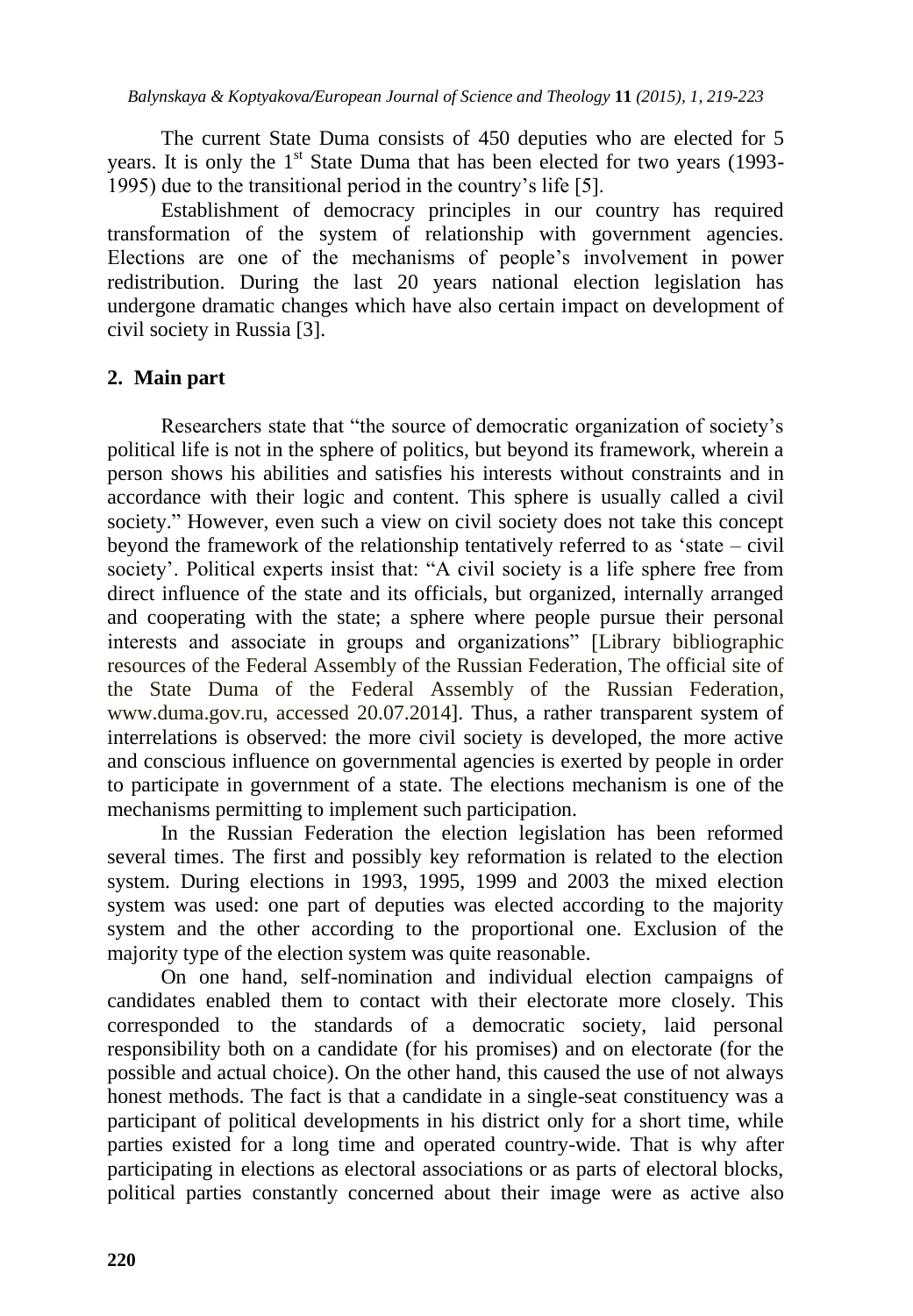The current State Duma consists of 450 deputies who are elected for 5 years. It is only the  $1<sup>st</sup>$  State Duma that has been elected for two years (1993-1995) due to the transitional period in the country"s life [5].

Establishment of democracy principles in our country has required transformation of the system of relationship with government agencies. Elections are one of the mechanisms of people"s involvement in power redistribution. During the last 20 years national election legislation has undergone dramatic changes which have also certain impact on development of civil society in Russia [3].

# **2. Main part**

Researchers state that "the source of democratic organization of society"s political life is not in the sphere of politics, but beyond its framework, wherein a person shows his abilities and satisfies his interests without constraints and in accordance with their logic and content. This sphere is usually called a civil society." However, even such a view on civil society does not take this concept beyond the framework of the relationship tentatively referred to as "state – civil society'. Political experts insist that: "A civil society is a life sphere free from direct influence of the state and its officials, but organized, internally arranged and cooperating with the state; a sphere where people pursue their personal interests and associate in groups and organizations" [Library bibliographic resources of the Federal Assembly of the Russian Federation, The official site of the State Duma of the Federal Assembly of the Russian Federation, www.duma.gov.ru, accessed 20.07.2014]. Thus, a rather transparent system of interrelations is observed: the more civil society is developed, the more active and conscious influence on governmental agencies is exerted by people in order to participate in government of a state. The elections mechanism is one of the mechanisms permitting to implement such participation.

In the Russian Federation the election legislation has been reformed several times. The first and possibly key reformation is related to the election system. During elections in 1993, 1995, 1999 and 2003 the mixed election system was used: one part of deputies was elected according to the majority system and the other according to the proportional one. Exclusion of the majority type of the election system was quite reasonable.

On one hand, self-nomination and individual election campaigns of candidates enabled them to contact with their electorate more closely. This corresponded to the standards of a democratic society, laid personal responsibility both on a candidate (for his promises) and on electorate (for the possible and actual choice). On the other hand, this caused the use of not always honest methods. The fact is that a candidate in a single-seat constituency was a participant of political developments in his district only for a short time, while parties existed for a long time and operated country-wide. That is why after participating in elections as electoral associations or as parts of electoral blocks, political parties constantly concerned about their image were as active also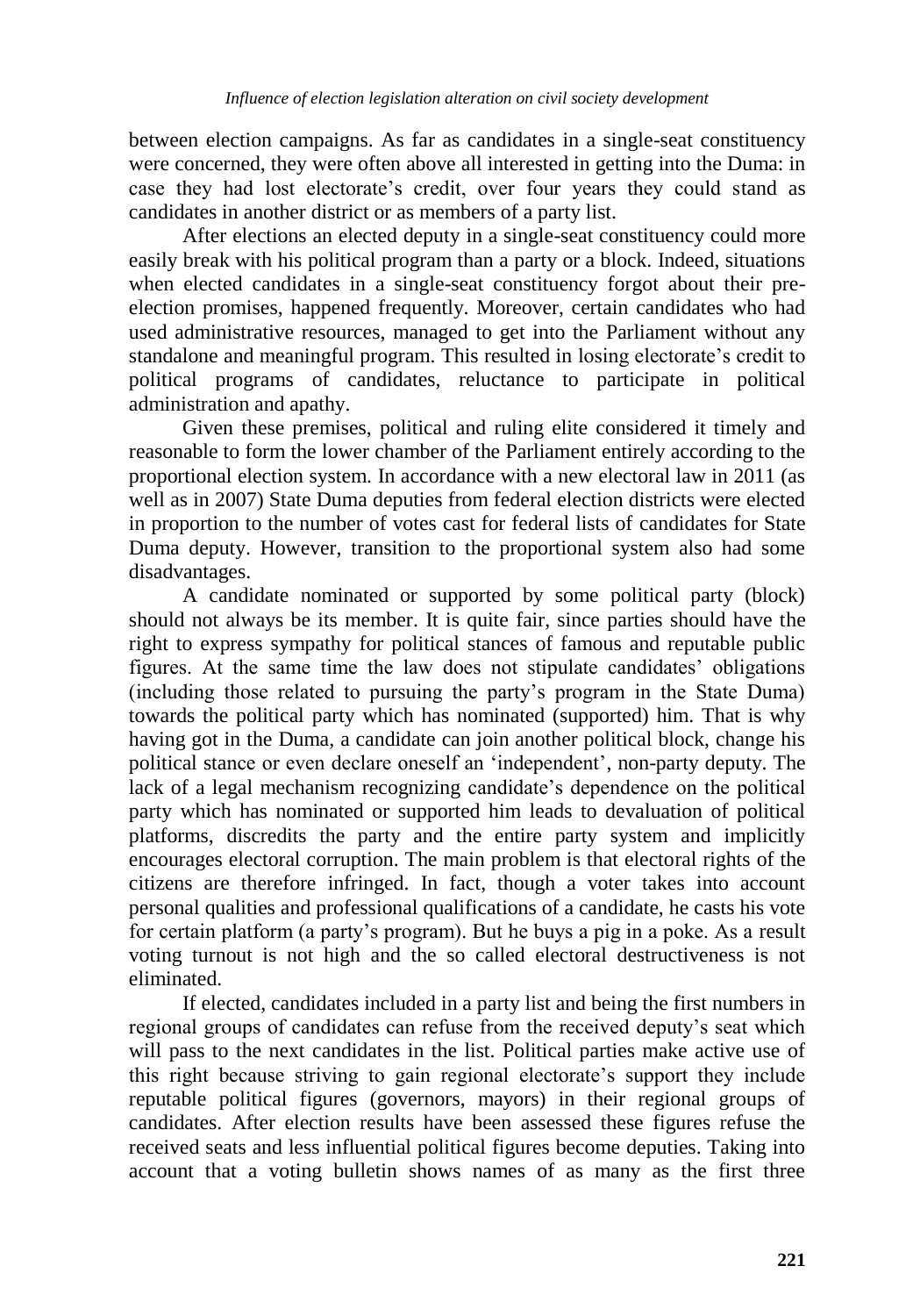between election campaigns. As far as candidates in a single-seat constituency were concerned, they were often above all interested in getting into the Duma: in case they had lost electorate's credit, over four years they could stand as candidates in another district or as members of a party list.

After elections an elected deputy in a single-seat constituency could more easily break with his political program than a party or a block. Indeed, situations when elected candidates in a single-seat constituency forgot about their preelection promises, happened frequently. Moreover, certain candidates who had used administrative resources, managed to get into the Parliament without any standalone and meaningful program. This resulted in losing electorate"s credit to political programs of candidates, reluctance to participate in political administration and apathy.

Given these premises, political and ruling elite considered it timely and reasonable to form the lower chamber of the Parliament entirely according to the proportional election system. In accordance with a new electoral law in 2011 (as well as in 2007) State Duma deputies from federal election districts were elected in proportion to the number of votes cast for federal lists of candidates for State Duma deputy. However, transition to the proportional system also had some disadvantages.

A candidate nominated or supported by some political party (block) should not always be its member. It is quite fair, since parties should have the right to express sympathy for political stances of famous and reputable public figures. At the same time the law does not stipulate candidates" obligations (including those related to pursuing the party"s program in the State Duma) towards the political party which has nominated (supported) him. That is why having got in the Duma, a candidate can join another political block, change his political stance or even declare oneself an "independent", non-party deputy. The lack of a legal mechanism recognizing candidate's dependence on the political party which has nominated or supported him leads to devaluation of political platforms, discredits the party and the entire party system and implicitly encourages electoral corruption. The main problem is that electoral rights of the citizens are therefore infringed. In fact, though a voter takes into account personal qualities and professional qualifications of a candidate, he casts his vote for certain platform (a party"s program). But he buys a pig in a poke. As a result voting turnout is not high and the so called electoral destructiveness is not eliminated.

If elected, candidates included in a party list and being the first numbers in regional groups of candidates can refuse from the received deputy"s seat which will pass to the next candidates in the list. Political parties make active use of this right because striving to gain regional electorate's support they include reputable political figures (governors, mayors) in their regional groups of candidates. After election results have been assessed these figures refuse the received seats and less influential political figures become deputies. Taking into account that a voting bulletin shows names of as many as the first three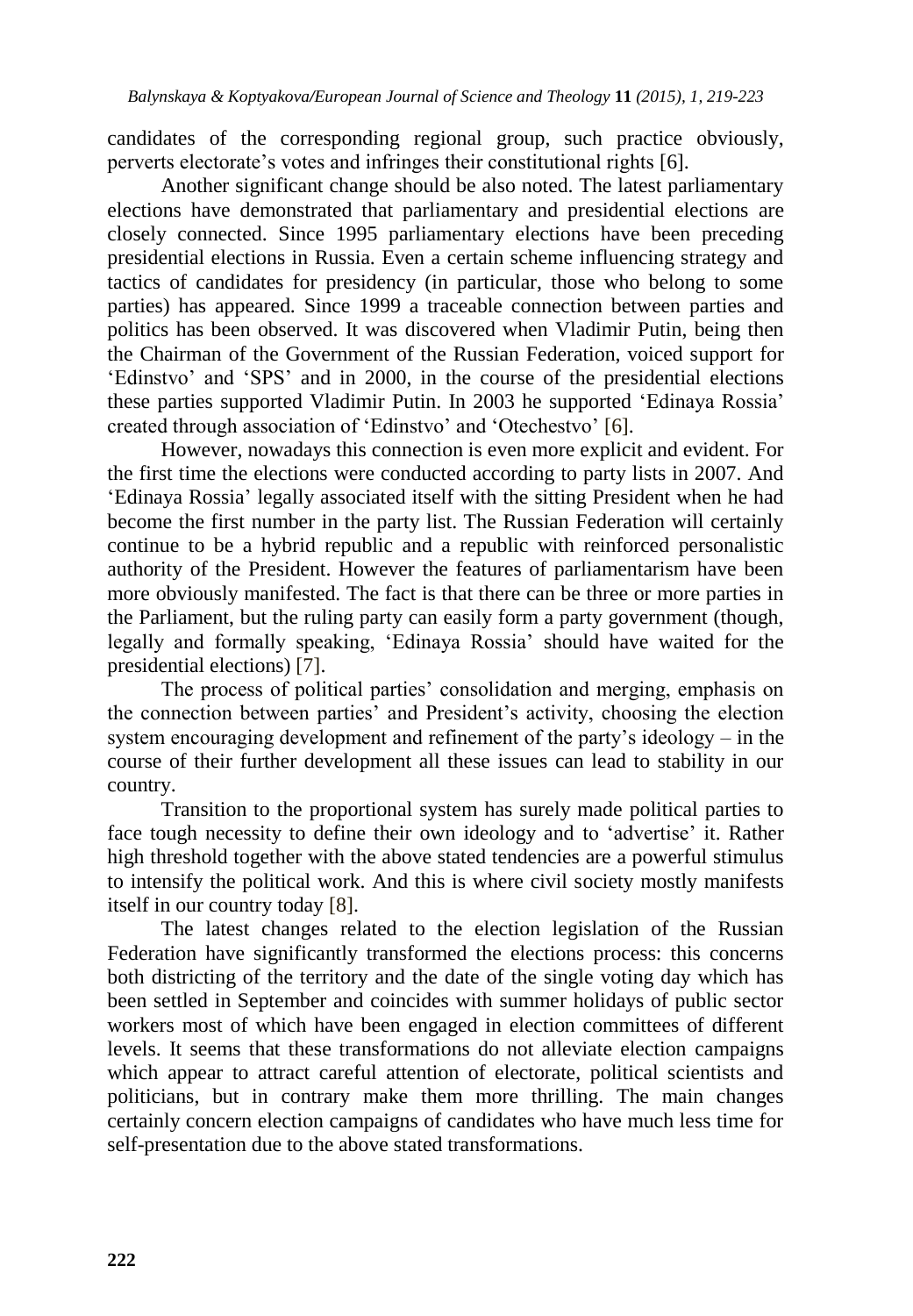candidates of the corresponding regional group, such practice obviously, perverts electorate"s votes and infringes their constitutional rights [6].

Another significant change should be also noted. The latest parliamentary elections have demonstrated that parliamentary and presidential elections are closely connected. Since 1995 parliamentary elections have been preceding presidential elections in Russia. Even a certain scheme influencing strategy and tactics of candidates for presidency (in particular, those who belong to some parties) has appeared. Since 1999 a traceable connection between parties and politics has been observed. It was discovered when Vladimir Putin, being then the Chairman of the Government of the Russian Federation, voiced support for "Edinstvo" and "SPS" and in 2000, in the course of the presidential elections these parties supported Vladimir Putin. In 2003 he supported "Edinaya Rossia" created through association of "Edinstvo" and "Otechestvo" [6].

However, nowadays this connection is even more explicit and evident. For the first time the elections were conducted according to party lists in 2007. And "Edinaya Rossia" legally associated itself with the sitting President when he had become the first number in the party list. The Russian Federation will certainly continue to be a hybrid republic and a republic with reinforced personalistic authority of the President. However the features of parliamentarism have been more obviously manifested. The fact is that there can be three or more parties in the Parliament, but the ruling party can easily form a party government (though, legally and formally speaking, "Edinaya Rossia" should have waited for the presidential elections) [7].

The process of political parties" consolidation and merging, emphasis on the connection between parties" and President"s activity, choosing the election system encouraging development and refinement of the party"s ideology – in the course of their further development all these issues can lead to stability in our country.

Transition to the proportional system has surely made political parties to face tough necessity to define their own ideology and to 'advertise' it. Rather high threshold together with the above stated tendencies are a powerful stimulus to intensify the political work. And this is where civil society mostly manifests itself in our country today [8].

The latest changes related to the election legislation of the Russian Federation have significantly transformed the elections process: this concerns both districting of the territory and the date of the single voting day which has been settled in September and coincides with summer holidays of public sector workers most of which have been engaged in election committees of different levels. It seems that these transformations do not alleviate election campaigns which appear to attract careful attention of electorate, political scientists and politicians, but in contrary make them more thrilling. The main changes certainly concern election campaigns of candidates who have much less time for self-presentation due to the above stated transformations.